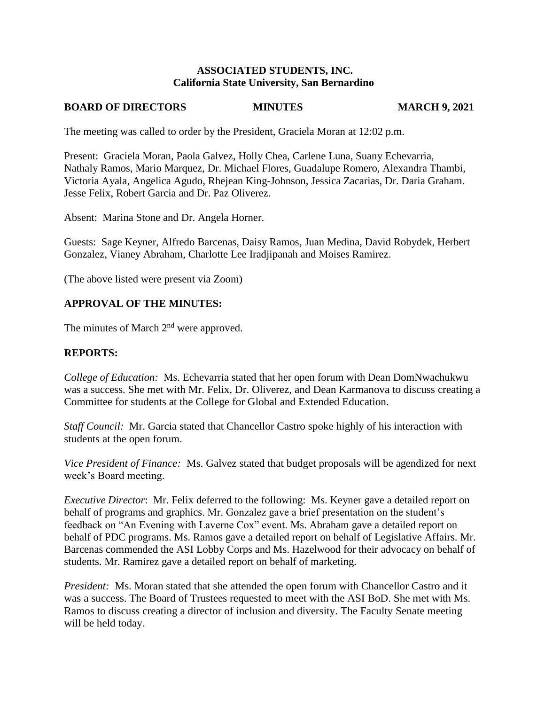# **ASSOCIATED STUDENTS, INC. California State University, San Bernardino**

# **BOARD OF DIRECTORS MINUTES MARCH 9, 2021**

The meeting was called to order by the President, Graciela Moran at 12:02 p.m.

Present: Graciela Moran, Paola Galvez, Holly Chea, Carlene Luna, Suany Echevarria, Nathaly Ramos, Mario Marquez, Dr. Michael Flores, Guadalupe Romero, Alexandra Thambi, Victoria Ayala, Angelica Agudo, Rhejean King-Johnson, Jessica Zacarias, Dr. Daria Graham. Jesse Felix, Robert Garcia and Dr. Paz Oliverez.

Absent: Marina Stone and Dr. Angela Horner.

Guests: Sage Keyner, Alfredo Barcenas, Daisy Ramos, Juan Medina, David Robydek, Herbert Gonzalez, Vianey Abraham, Charlotte Lee Iradjipanah and Moises Ramirez.

(The above listed were present via Zoom)

# **APPROVAL OF THE MINUTES:**

The minutes of March  $2<sup>nd</sup>$  were approved.

# **REPORTS:**

*College of Education:* Ms. Echevarria stated that her open forum with Dean DomNwachukwu was a success. She met with Mr. Felix, Dr. Oliverez, and Dean Karmanova to discuss creating a Committee for students at the College for Global and Extended Education.

*Staff Council:* Mr. Garcia stated that Chancellor Castro spoke highly of his interaction with students at the open forum.

*Vice President of Finance:* Ms. Galvez stated that budget proposals will be agendized for next week's Board meeting.

*Executive Director*: Mr. Felix deferred to the following: Ms. Keyner gave a detailed report on behalf of programs and graphics. Mr. Gonzalez gave a brief presentation on the student's feedback on "An Evening with Laverne Cox" event. Ms. Abraham gave a detailed report on behalf of PDC programs. Ms. Ramos gave a detailed report on behalf of Legislative Affairs. Mr. Barcenas commended the ASI Lobby Corps and Ms. Hazelwood for their advocacy on behalf of students. Mr. Ramirez gave a detailed report on behalf of marketing.

*President:* Ms. Moran stated that she attended the open forum with Chancellor Castro and it was a success. The Board of Trustees requested to meet with the ASI BoD. She met with Ms. Ramos to discuss creating a director of inclusion and diversity. The Faculty Senate meeting will be held today.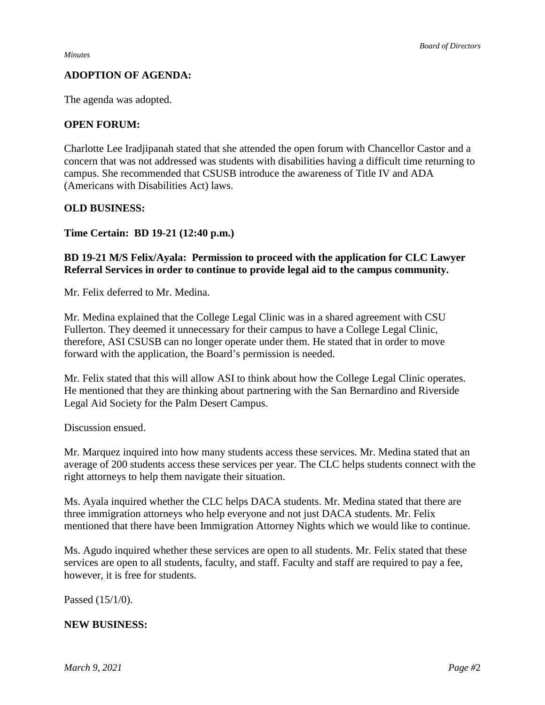# **ADOPTION OF AGENDA:**

The agenda was adopted.

# **OPEN FORUM:**

Charlotte Lee Iradjipanah stated that she attended the open forum with Chancellor Castor and a concern that was not addressed was students with disabilities having a difficult time returning to campus. She recommended that CSUSB introduce the awareness of Title IV and ADA (Americans with Disabilities Act) laws.

## **OLD BUSINESS:**

**Time Certain: BD 19-21 (12:40 p.m.)**

# **BD 19-21 M/S Felix/Ayala: Permission to proceed with the application for CLC Lawyer Referral Services in order to continue to provide legal aid to the campus community.**

Mr. Felix deferred to Mr. Medina.

Mr. Medina explained that the College Legal Clinic was in a shared agreement with CSU Fullerton. They deemed it unnecessary for their campus to have a College Legal Clinic, therefore, ASI CSUSB can no longer operate under them. He stated that in order to move forward with the application, the Board's permission is needed.

Mr. Felix stated that this will allow ASI to think about how the College Legal Clinic operates. He mentioned that they are thinking about partnering with the San Bernardino and Riverside Legal Aid Society for the Palm Desert Campus.

Discussion ensued.

Mr. Marquez inquired into how many students access these services. Mr. Medina stated that an average of 200 students access these services per year. The CLC helps students connect with the right attorneys to help them navigate their situation.

Ms. Ayala inquired whether the CLC helps DACA students. Mr. Medina stated that there are three immigration attorneys who help everyone and not just DACA students. Mr. Felix mentioned that there have been Immigration Attorney Nights which we would like to continue.

Ms. Agudo inquired whether these services are open to all students. Mr. Felix stated that these services are open to all students, faculty, and staff. Faculty and staff are required to pay a fee, however, it is free for students.

Passed (15/1/0).

### **NEW BUSINESS:**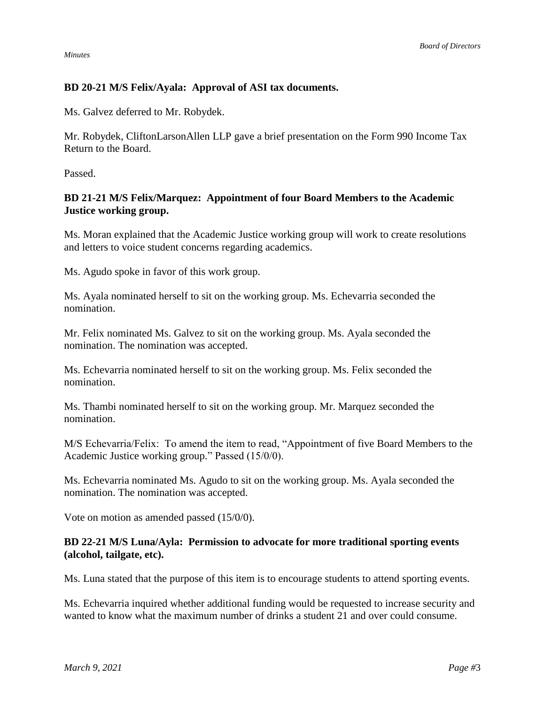*Minutes*

# **BD 20-21 M/S Felix/Ayala: Approval of ASI tax documents.**

Ms. Galvez deferred to Mr. Robydek.

Mr. Robydek, CliftonLarsonAllen LLP gave a brief presentation on the Form 990 Income Tax Return to the Board.

Passed.

# **BD 21-21 M/S Felix/Marquez: Appointment of four Board Members to the Academic Justice working group.**

Ms. Moran explained that the Academic Justice working group will work to create resolutions and letters to voice student concerns regarding academics.

Ms. Agudo spoke in favor of this work group.

Ms. Ayala nominated herself to sit on the working group. Ms. Echevarria seconded the nomination.

Mr. Felix nominated Ms. Galvez to sit on the working group. Ms. Ayala seconded the nomination. The nomination was accepted.

Ms. Echevarria nominated herself to sit on the working group. Ms. Felix seconded the nomination.

Ms. Thambi nominated herself to sit on the working group. Mr. Marquez seconded the nomination.

M/S Echevarria/Felix: To amend the item to read, "Appointment of five Board Members to the Academic Justice working group." Passed (15/0/0).

Ms. Echevarria nominated Ms. Agudo to sit on the working group. Ms. Ayala seconded the nomination. The nomination was accepted.

Vote on motion as amended passed (15/0/0).

# **BD 22-21 M/S Luna/Ayla: Permission to advocate for more traditional sporting events (alcohol, tailgate, etc).**

Ms. Luna stated that the purpose of this item is to encourage students to attend sporting events.

Ms. Echevarria inquired whether additional funding would be requested to increase security and wanted to know what the maximum number of drinks a student 21 and over could consume.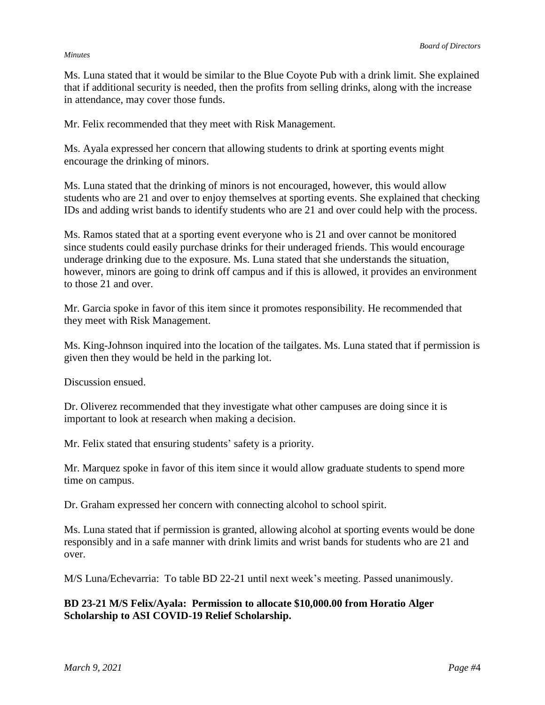### *Minutes*

Ms. Luna stated that it would be similar to the Blue Coyote Pub with a drink limit. She explained that if additional security is needed, then the profits from selling drinks, along with the increase in attendance, may cover those funds.

Mr. Felix recommended that they meet with Risk Management.

Ms. Ayala expressed her concern that allowing students to drink at sporting events might encourage the drinking of minors.

Ms. Luna stated that the drinking of minors is not encouraged, however, this would allow students who are 21 and over to enjoy themselves at sporting events. She explained that checking IDs and adding wrist bands to identify students who are 21 and over could help with the process.

Ms. Ramos stated that at a sporting event everyone who is 21 and over cannot be monitored since students could easily purchase drinks for their underaged friends. This would encourage underage drinking due to the exposure. Ms. Luna stated that she understands the situation, however, minors are going to drink off campus and if this is allowed, it provides an environment to those 21 and over.

Mr. Garcia spoke in favor of this item since it promotes responsibility. He recommended that they meet with Risk Management.

Ms. King-Johnson inquired into the location of the tailgates. Ms. Luna stated that if permission is given then they would be held in the parking lot.

Discussion ensued.

Dr. Oliverez recommended that they investigate what other campuses are doing since it is important to look at research when making a decision.

Mr. Felix stated that ensuring students' safety is a priority.

Mr. Marquez spoke in favor of this item since it would allow graduate students to spend more time on campus.

Dr. Graham expressed her concern with connecting alcohol to school spirit.

Ms. Luna stated that if permission is granted, allowing alcohol at sporting events would be done responsibly and in a safe manner with drink limits and wrist bands for students who are 21 and over.

M/S Luna/Echevarria: To table BD 22-21 until next week's meeting. Passed unanimously.

**BD 23-21 M/S Felix/Ayala: Permission to allocate \$10,000.00 from Horatio Alger Scholarship to ASI COVID-19 Relief Scholarship.**